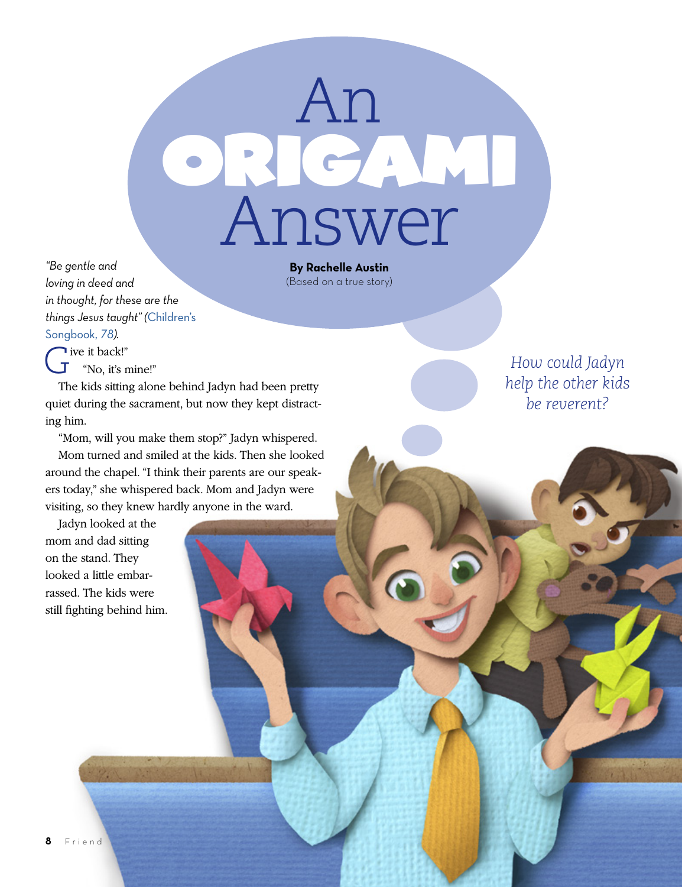

**By Rachelle Austin** (Based on a true story)

*"Be gentle and loving in deed and in thought, for these are the things Jesus taught" (*[Children's](https://www.lds.org/music/library/childrens-songbook/im-trying-to-be-like-jesus?lang=eng)  [Songbook,](https://www.lds.org/music/library/childrens-songbook/im-trying-to-be-like-jesus?lang=eng) *78).*

Five it back!"<br> $\overline{J}$  "No. it's n "No, it's mine!"

The kids sitting alone behind Jadyn had been pretty quiet during the sacrament, but now they kept distracting him.

"Mom, will you make them stop?" Jadyn whispered.

Mom turned and smiled at the kids. Then she looked around the chapel. "I think their parents are our speakers today," she whispered back. Mom and Jadyn were visiting, so they knew hardly anyone in the ward.

Jadyn looked at the mom and dad sitting on the stand. They looked a little embarrassed. The kids were still fighting behind him.

*How could Jadyn help the other kids be reverent?*